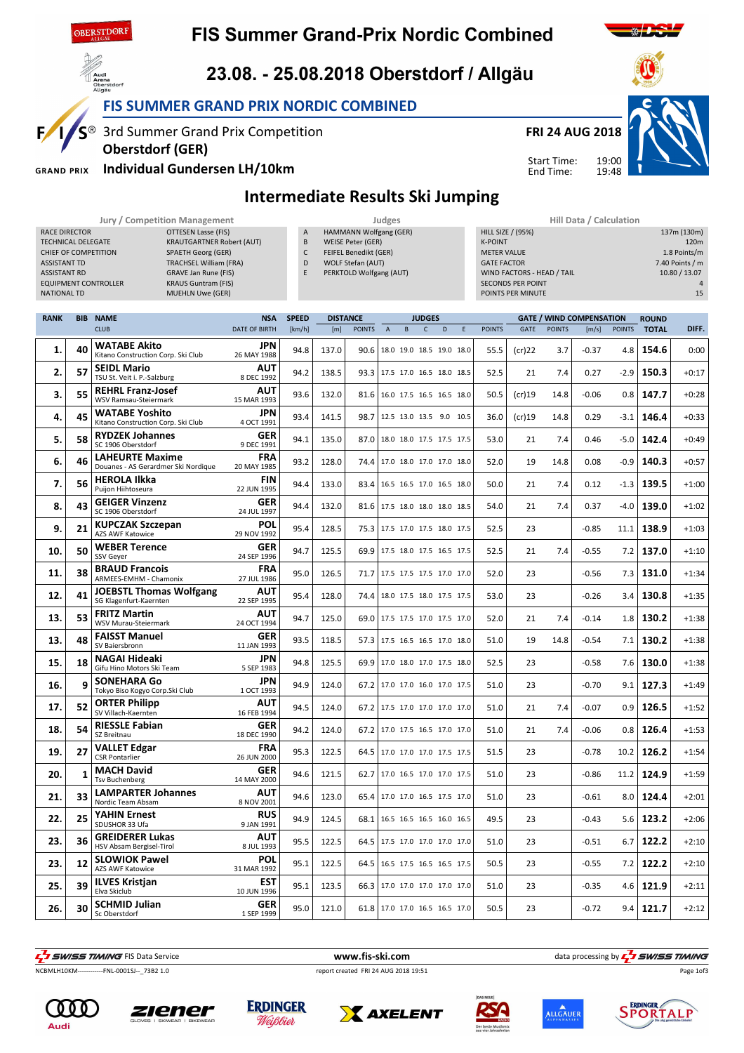

E

**GRAND PRIX** 

### **FIS Summer Grand-Prix Nordic Combined**



FIS SUMMER GRAND PRIX NORDIC COMBINED

S<sup>®</sup> 3rd Summer Grand Prix Competition

Individual Gundersen LH/10km

Oberstdorf (GER)

# FRI 24 AUG 2018



End Time:

19:00 19:48 Start Time:



Intermediate Results Ski Jumping

|                             | Jury / Competition Management    |              | <b>Judges</b>                |                            | Hill Data / Calculation |                 |  |  |
|-----------------------------|----------------------------------|--------------|------------------------------|----------------------------|-------------------------|-----------------|--|--|
| RACE DIRECTOR               | OTTESEN Lasse (FIS)              | $\mathsf{A}$ | HAMMANN Wolfgang (GER)       | HILL SIZE / (95%)          |                         | 137m (130m)     |  |  |
| TECHNICAL DELEGATE          | <b>KRAUTGARTNER Robert (AUT)</b> | B            | WEISE Peter (GER)            | <b>K-POINT</b>             |                         | 120m            |  |  |
| CHIEF OF COMPETITION        | SPAETH Georg (GER)               |              | <b>FEIFEL Benedikt (GER)</b> | <b>METER VALUE</b>         |                         | 1.8 Points/m    |  |  |
| <b>ASSISTANT TD</b>         | <b>TRACHSEL William (FRA)</b>    | D            | WOLF Stefan (AUT)            | <b>GATE FACTOR</b>         |                         | 7.40 Points / m |  |  |
| <b>ASSISTANT RD</b>         | GRAVE Jan Rune (FIS)             |              | PERKTOLD Wolfgang (AUT)      | WIND FACTORS - HEAD / TAIL |                         | 10.80 / 13.07   |  |  |
| <b>EQUIPMENT CONTROLLER</b> | <b>KRAUS Guntram (FIS)</b>       |              |                              | <b>SECONDS PER POINT</b>   |                         |                 |  |  |
| <b>NATIONAL TD</b>          | <b>MUEHLN Uwe (GER)</b>          |              |                              | POINTS PER MINUTE          |                         | 15              |  |  |
|                             |                                  |              |                              |                            |                         |                 |  |  |

| <b>RANK</b> |    | <b>BIB NAME</b>                                               | <b>NSA</b>                | <b>SPEED</b> | <b>DISTANCE</b> |               |                                 |                          | <b>JUDGES</b> |   |   |               |           |               | <b>GATE / WIND COMPENSATION</b> |               | <b>ROUND</b> |         |
|-------------|----|---------------------------------------------------------------|---------------------------|--------------|-----------------|---------------|---------------------------------|--------------------------|---------------|---|---|---------------|-----------|---------------|---------------------------------|---------------|--------------|---------|
|             |    | <b>CLUB</b>                                                   | <b>DATE OF BIRTH</b>      | [km/h]       | [m]             | <b>POINTS</b> | $\mathsf A$                     | B                        | $\mathsf{C}$  | D | E | <b>POINTS</b> | GATE      | <b>POINTS</b> | [m/s]                           | <b>POINTS</b> | <b>TOTAL</b> | DIFF.   |
| 1.          | 40 | <b>WATABE Akito</b><br>Kitano Construction Corp. Ski Club     | <b>JPN</b><br>26 MAY 1988 | 94.8         | 137.0           | 90.6          |                                 | 18.0 19.0 18.5 19.0 18.0 |               |   |   | 55.5          | (cr)22    | 3.7           | $-0.37$                         | 4.8           | 154.6        | 0:00    |
| 2.          | 57 | <b>SEIDL Mario</b><br>TSU St. Veit i. P.-Salzburg             | <b>AUT</b><br>8 DEC 1992  | 94.2         | 138.5           |               | 93.3 17.5 17.0 16.5 18.0 18.5   |                          |               |   |   | 52.5          | 21        | 7.4           | 0.27                            | $-2.9$        | 150.3        | $+0:17$ |
| З.          | 55 | <b>REHRL Franz-Josef</b><br><b>WSV Ramsau-Steiermark</b>      | <b>AUT</b><br>15 MAR 1993 | 93.6         | 132.0           | 81.6          |                                 | 16.0 17.5 16.5 16.5 18.0 |               |   |   | 50.5          | (cr)19    | 14.8          | $-0.06$                         | 0.8           | 147.7        | $+0:28$ |
| 4.          | 45 | <b>WATABE Yoshito</b><br>Kitano Construction Corp. Ski Club   | <b>JPN</b><br>4 OCT 1991  | 93.4         | 141.5           | 98.7          |                                 | 12.5 13.0 13.5 9.0 10.5  |               |   |   | 36.0          | $(cr)$ 19 | 14.8          | 0.29                            | $-3.1$        | 146.4        | $+0:33$ |
| 5.          | 58 | <b>RYDZEK Johannes</b><br>SC 1906 Oberstdorf                  | <b>GER</b><br>9 DEC 1991  | 94.1         | 135.0           | 87.0          |                                 | 18.0 18.0 17.5 17.5 17.5 |               |   |   | 53.0          | 21        | 7.4           | 0.46                            | $-5.0$        | 142.4        | $+0:49$ |
| 6.          | 46 | <b>LAHEURTE Maxime</b><br>Douanes - AS Gerardmer Ski Nordique | <b>FRA</b><br>20 MAY 1985 | 93.2         | 128.0           | 74.4          |                                 | 17.0 18.0 17.0 17.0 18.0 |               |   |   | 52.0          | 19        | 14.8          | 0.08                            | $-0.9$        | 140.3        | $+0:57$ |
| 7.          | 56 | <b>HEROLA Ilkka</b><br>Puijon Hiihtoseura                     | <b>FIN</b><br>22 JUN 1995 | 94.4         | 133.0           |               | 83.4   16.5 16.5 17.0 16.5 18.0 |                          |               |   |   | 50.0          | 21        | 7.4           | 0.12                            | $-1.3$        | 139.5        | $+1:00$ |
| 8.          | 43 | <b>GEIGER Vinzenz</b><br>SC 1906 Oberstdorf                   | <b>GER</b><br>24 JUL 1997 | 94.4         | 132.0           |               | 81.6   17.5 18.0 18.0 18.0 18.5 |                          |               |   |   | 54.0          | 21        | 7.4           | 0.37                            | $-4.0$        | 139.0        | $+1:02$ |
| 9.          | 21 | <b>KUPCZAK Szczepan</b><br>AZS AWF Katowice                   | POL<br>29 NOV 1992        | 95.4         | 128.5           | 75.3          |                                 | 17.5 17.0 17.5 18.0 17.5 |               |   |   | 52.5          | 23        |               | $-0.85$                         | 11.1          | 138.9        | $+1:03$ |
| 10.         | 50 | <b>WEBER Terence</b><br>SSV Gever                             | GER<br>24 SEP 1996        | 94.7         | 125.5           |               | 69.9 17.5 18.0 17.5 16.5 17.5   |                          |               |   |   | 52.5          | 21        | 7.4           | $-0.55$                         | 7.2           | 137.0        | $+1:10$ |
| 11.         | 38 | <b>BRAUD Francois</b><br>ARMEES-EMHM - Chamonix               | <b>FRA</b><br>27 JUL 1986 | 95.0         | 126.5           | 71.7          |                                 | 17.5 17.5 17.5 17.0 17.0 |               |   |   | 52.0          | 23        |               | $-0.56$                         | 7.3           | 131.0        | $+1:34$ |
| 12.         | 41 | <b>JOEBSTL Thomas Wolfgang</b><br>SG Klagenfurt-Kaernten      | AUT<br>22 SEP 1995        | 95.4         | 128.0           |               | 74.4 18.0 17.5 18.0 17.5 17.5   |                          |               |   |   | 53.0          | 23        |               | $-0.26$                         | 3.4           | 130.8        | $+1:35$ |
| 13.         | 53 | <b>FRITZ Martin</b><br>WSV Murau-Steiermark                   | AUT<br>24 OCT 1994        | 94.7         | 125.0           |               | 69.0 17.5 17.5 17.0 17.5 17.0   |                          |               |   |   | 52.0          | 21        | 7.4           | $-0.14$                         | 1.8           | 130.2        | $+1:38$ |
| 13.         | 48 | <b>FAISST Manuel</b><br>SV Baiersbronn                        | <b>GER</b><br>11 JAN 1993 | 93.5         | 118.5           |               | 57.3 17.5 16.5 16.5 17.0 18.0   |                          |               |   |   | 51.0          | 19        | 14.8          | $-0.54$                         | 7.1           | 130.2        | $+1:38$ |
| 15.         | 18 | <b>NAGAI Hideaki</b><br>Gifu Hino Motors Ski Team             | JPN<br>5 SEP 1983         | 94.8         | 125.5           |               | 69.9 17.0 18.0 17.0 17.5 18.0   |                          |               |   |   | 52.5          | 23        |               | $-0.58$                         | 7.6           | 130.0        | $+1:38$ |
| 16.         | 9  | <b>SONEHARA Go</b><br>Tokyo Biso Kogyo Corp.Ski Club          | <b>JPN</b><br>1 OCT 1993  | 94.9         | 124.0           |               | 67.2 17.0 17.0 16.0 17.0 17.5   |                          |               |   |   | 51.0          | 23        |               | $-0.70$                         | 9.1           | 127.3        | $+1:49$ |
| 17.         | 52 | <b>ORTER Philipp</b><br>SV Villach-Kaernten                   | AUT<br>16 FEB 1994        | 94.5         | 124.0           |               | 67.2 17.5 17.0 17.0 17.0 17.0   |                          |               |   |   | 51.0          | 21        | 7.4           | $-0.07$                         | 0.9           | 126.5        | $+1:52$ |
| 18.         | 54 | <b>RIESSLE Fabian</b><br>SZ Breitnau                          | <b>GER</b><br>18 DEC 1990 | 94.2         | 124.0           |               | 67.2 17.0 17.5 16.5 17.0 17.0   |                          |               |   |   | 51.0          | 21        | 7.4           | $-0.06$                         | 0.8           | 126.4        | $+1:53$ |
| 19.         | 27 | <b>VALLET Edgar</b><br><b>CSR Pontarlier</b>                  | <b>FRA</b><br>26 JUN 2000 | 95.3         | 122.5           |               | 64.5   17.0 17.0 17.0 17.5 17.5 |                          |               |   |   | 51.5          | 23        |               | $-0.78$                         | 10.2          | 126.2        | $+1:54$ |
| 20.         | 1  | <b>MACH David</b><br><b>Tsv Buchenberg</b>                    | <b>GER</b><br>14 MAY 2000 | 94.6         | 121.5           |               | 62.7 17.0 16.5 17.0 17.0 17.5   |                          |               |   |   | 51.0          | 23        |               | $-0.86$                         | 11.2          | 124.9        | $+1:59$ |
| 21.         | 33 | <b>LAMPARTER Johannes</b><br>Nordic Team Absam                | AUT<br>8 NOV 2001         | 94.6         | 123.0           |               | 65.4   17.0 17.0 16.5 17.5 17.0 |                          |               |   |   | 51.0          | 23        |               | $-0.61$                         | 8.0           | 124.4        | $+2:01$ |
| 22.         | 25 | <b>YAHIN Ernest</b><br>SDUSHOR 33 Ufa                         | <b>RUS</b><br>9 JAN 1991  | 94.9         | 124.5           | 68.1          |                                 | 16.5 16.5 16.5 16.0 16.5 |               |   |   | 49.5          | 23        |               | $-0.43$                         | 5.6           | 123.2        | $+2:06$ |
| 23.         | 36 | <b>GREIDERER Lukas</b><br>HSV Absam Bergisel-Tirol            | AUT<br>8 JUL 1993         | 95.5         | 122.5           |               | 64.5   17.5 17.0 17.0 17.0 17.0 |                          |               |   |   | 51.0          | 23        |               | $-0.51$                         | 6.7           | 122.2        | $+2:10$ |
| 23.         | 12 | <b>SLOWIOK Pawel</b><br><b>AZS AWF Katowice</b>               | POL<br>31 MAR 1992        | 95.1         | 122.5           | 64.5          |                                 | 16.5 17.5 16.5 16.5 17.5 |               |   |   | 50.5          | 23        |               | $-0.55$                         | 7.2           | 122.2        | $+2:10$ |
| 25.         | 39 | <b>ILVES Kristjan</b><br>Elva Skiclub                         | <b>EST</b><br>10 JUN 1996 | 95.1         | 123.5           | 66.3          |                                 | 17.0 17.0 17.0 17.0 17.0 |               |   |   | 51.0          | 23        |               | $-0.35$                         | 4.6           | 121.9        | $+2:11$ |
| 26.         | 30 | <b>SCHMID Julian</b><br>Sc Oberstdorf                         | <b>GER</b><br>1 SEP 1999  | 95.0         | 121.0           |               | 61.8 17.0 17.0 16.5 16.5 17.0   |                          |               |   |   | 50.5          | 23        |               | $-0.72$                         | 9.4           | 121.7        | $+2:12$ |

**F**<br>Examples and the service www.fis-ski.com data processing by  $\frac{1}{2}$  SWISS TIMING

NCBMLH10KM------------FNL-0001SJ--\_73B2 1.0 report created FRI 24 AUG 2018 19:51















Page 1of3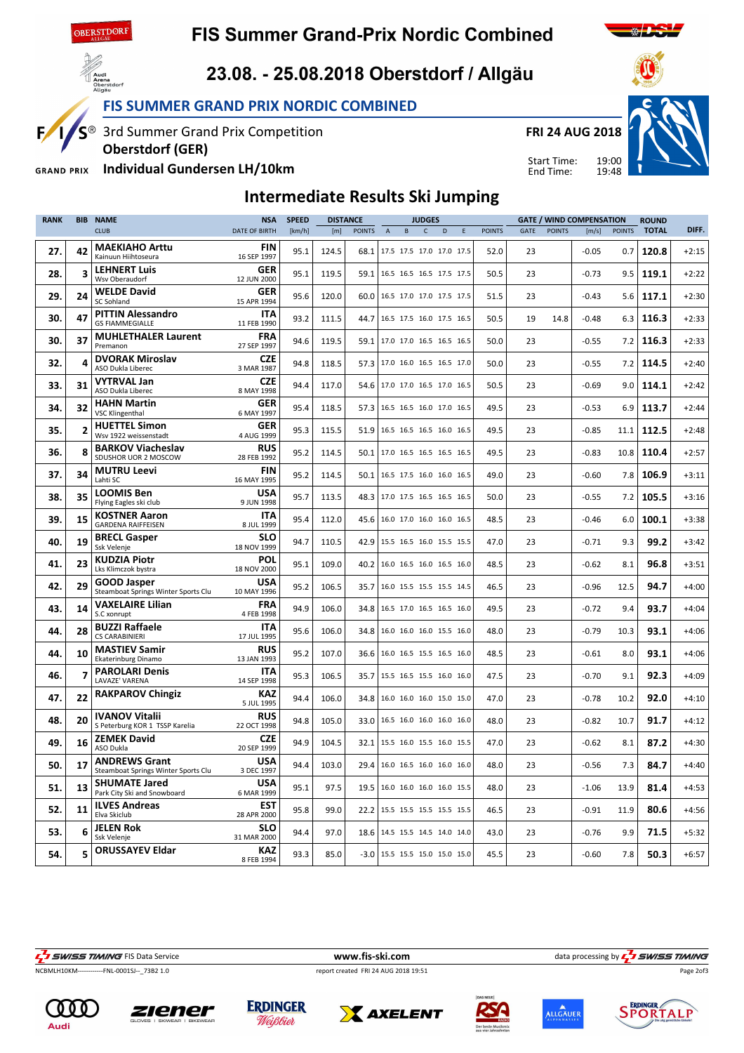

#### **FIS Summer Grand-Prix Nordic Combined**



E

**GRAND PRIX** 

#### 23.08. - 25.08.2018 Oberstdorf / Allgäu

FIS SUMMER GRAND PRIX NORDIC COMBINED

S<sup>®</sup> 3rd Summer Grand Prix Competition

Individual Gundersen LH/10km

Oberstdorf (GER)





19:00 19:48 Start Time:



End Time:

# Intermediate Results Ski Jumping

| <b>RANK</b> | <b>BIB</b>     | <b>NAME</b>                                                 | <b>NSA</b>                | <b>SPEED</b> |       | <b>DISTANCE</b> |                                 |   | <b>JUDGES</b> |                          |   |               |             |               | <b>GATE / WIND COMPENSATION</b> |               | <b>ROUND</b> |         |
|-------------|----------------|-------------------------------------------------------------|---------------------------|--------------|-------|-----------------|---------------------------------|---|---------------|--------------------------|---|---------------|-------------|---------------|---------------------------------|---------------|--------------|---------|
|             |                | <b>CLUB</b>                                                 | <b>DATE OF BIRTH</b>      | [km/h]       | [m]   | <b>POINTS</b>   | $\overline{A}$                  | B | $\mathsf{C}$  | D                        | E | <b>POINTS</b> | <b>GATE</b> | <b>POINTS</b> | [m/s]                           | <b>POINTS</b> | <b>TOTAL</b> | DIFF.   |
| 27.         | 42             | <b>MAEKIAHO Arttu</b><br>Kainuun Hiihtoseura                | <b>FIN</b><br>16 SEP 1997 | 95.1         | 124.5 | 68.1            |                                 |   |               | 17.5 17.5 17.0 17.0 17.5 |   | 52.0          | 23          |               | $-0.05$                         | 0.7           | 120.8        | $+2:15$ |
| 28.         | 3              | <b>LEHNERT Luis</b><br>Wsv Oberaudorf                       | <b>GER</b><br>12 JUN 2000 | 95.1         | 119.5 | 59.1            |                                 |   |               | 16.5 16.5 16.5 17.5 17.5 |   | 50.5          | 23          |               | $-0.73$                         | 9.5           | 119.1        | $+2:22$ |
| 29.         | 24             | <b>WELDE David</b><br>SC Sohland                            | <b>GER</b><br>15 APR 1994 | 95.6         | 120.0 | 60.0            |                                 |   |               | 16.5 17.0 17.0 17.5 17.5 |   | 51.5          | 23          |               | $-0.43$                         | 5.6           | 117.1        | $+2:30$ |
| 30.         | 47             | <b>PITTIN Alessandro</b><br><b>GS FIAMMEGIALLE</b>          | <b>ITA</b><br>11 FEB 1990 | 93.2         | 111.5 | 44.7            |                                 |   |               | 16.5 17.5 16.0 17.5 16.5 |   | 50.5          | 19          | 14.8          | $-0.48$                         | 6.3           | 116.3        | $+2:33$ |
| 30.         | 37             | <b>MUHLETHALER Laurent</b><br>Premanon                      | <b>FRA</b><br>27 SEP 1997 | 94.6         | 119.5 | 59.1            |                                 |   |               | 17.0 17.0 16.5 16.5 16.5 |   | 50.0          | 23          |               | $-0.55$                         | 7.2           | 116.3        | $+2:33$ |
| 32.         | 4              | <b>DVORAK Miroslav</b><br>ASO Dukla Liberec                 | <b>CZE</b><br>3 MAR 1987  | 94.8         | 118.5 |                 | 57.3   17.0 16.0 16.5 16.5 17.0 |   |               |                          |   | 50.0          | 23          |               | $-0.55$                         | 7.2           | 114.5        | $+2:40$ |
| 33.         | 31             | <b>VYTRVAL Jan</b><br>ASO Dukla Liberec                     | <b>CZE</b><br>8 MAY 1998  | 94.4         | 117.0 | 54.6            |                                 |   |               | 17.0 17.0 16.5 17.0 16.5 |   | 50.5          | 23          |               | $-0.69$                         | 9.0           | 114.1        | $+2:42$ |
| 34.         | 32             | <b>HAHN Martin</b><br><b>VSC Klingenthal</b>                | <b>GER</b><br>6 MAY 1997  | 95.4         | 118.5 | 57.3            |                                 |   |               | 16.5 16.5 16.0 17.0 16.5 |   | 49.5          | 23          |               | $-0.53$                         | 6.9           | 113.7        | $+2:44$ |
| 35.         | $\overline{2}$ | <b>HUETTEL Simon</b><br>Wsv 1922 weissenstadt               | <b>GER</b><br>4 AUG 1999  | 95.3         | 115.5 | 51.9            |                                 |   |               | 16.5 16.5 16.5 16.0 16.5 |   | 49.5          | 23          |               | $-0.85$                         | 11.1          | 112.5        | $+2:48$ |
| 36.         | 8              | <b>BARKOV Viacheslav</b><br>SDUSHOR UOR 2 MOSCOW            | <b>RUS</b><br>28 FEB 1992 | 95.2         | 114.5 | 50.1            |                                 |   |               | 17.0 16.5 16.5 16.5 16.5 |   | 49.5          | 23          |               | $-0.83$                         | 10.8          | 110.4        | $+2:57$ |
| 37.         | 34             | <b>MUTRU Leevi</b><br>Lahti SC                              | <b>FIN</b><br>16 MAY 1995 | 95.2         | 114.5 | 50.1            |                                 |   |               | 16.5 17.5 16.0 16.0 16.5 |   | 49.0          | 23          |               | $-0.60$                         | 7.8           | 106.9        | $+3:11$ |
| 38.         | 35             | <b>LOOMIS Ben</b><br>Flying Eagles ski club                 | USA<br>9 JUN 1998         | 95.7         | 113.5 |                 | 48.3 17.0 17.5 16.5 16.5 16.5   |   |               |                          |   | 50.0          | 23          |               | $-0.55$                         | 7.2           | 105.5        | $+3:16$ |
| 39.         | 15             | <b>KOSTNER Aaron</b><br><b>GARDENA RAIFFEISEN</b>           | <b>ITA</b><br>8 JUL 1999  | 95.4         | 112.0 | 45.6            |                                 |   |               | 16.0 17.0 16.0 16.0 16.5 |   | 48.5          | 23          |               | $-0.46$                         | 6.0           | 100.1        | $+3:38$ |
| 40.         | 19             | <b>BRECL Gasper</b><br>Ssk Velenje                          | <b>SLO</b><br>18 NOV 1999 | 94.7         | 110.5 | 42.9            |                                 |   |               | 15.5 16.5 16.0 15.5 15.5 |   | 47.0          | 23          |               | $-0.71$                         | 9.3           | 99.2         | $+3:42$ |
| 41.         | 23             | <b>KUDZIA Piotr</b><br>Lks Klimczok bystra                  | POL<br>18 NOV 2000        | 95.1         | 109.0 | 40.2            |                                 |   |               | 16.0 16.5 16.0 16.5 16.0 |   | 48.5          | 23          |               | $-0.62$                         | 8.1           | 96.8         | $+3:51$ |
| 42.         | 29             | GOOD Jasper<br>Steamboat Springs Winter Sports Clu          | <b>USA</b><br>10 MAY 1996 | 95.2         | 106.5 | 35.7            |                                 |   |               | 16.0 15.5 15.5 15.5 14.5 |   | 46.5          | 23          |               | $-0.96$                         | 12.5          | 94.7         | $+4:00$ |
| 43.         | 14             | VAXELAIRE Lilian<br>S.C xonrupt                             | <b>FRA</b><br>4 FEB 1998  | 94.9         | 106.0 | 34.8            |                                 |   |               | 16.5 17.0 16.5 16.5 16.0 |   | 49.5          | 23          |               | $-0.72$                         | 9.4           | 93.7         | $+4:04$ |
| 44.         | 28             | <b>BUZZI Raffaele</b><br><b>CS CARABINIERI</b>              | <b>ITA</b><br>17 JUL 1995 | 95.6         | 106.0 | 34.8            |                                 |   |               | 16.0 16.0 16.0 15.5 16.0 |   | 48.0          | 23          |               | $-0.79$                         | 10.3          | 93.1         | $+4:06$ |
| 44.         | 10             | <b>MASTIEV Samir</b><br>Ekaterinburg Dinamo                 | <b>RUS</b><br>13 JAN 1993 | 95.2         | 107.0 | 36.6            |                                 |   |               | 16.0 16.5 15.5 16.5 16.0 |   | 48.5          | 23          |               | $-0.61$                         | 8.0           | 93.1         | $+4:06$ |
| 46.         | 7              | <b>PAROLARI Denis</b><br>LAVAZE' VARENA                     | <b>ITA</b><br>14 SEP 1998 | 95.3         | 106.5 | 35.7            | 15.5 16.5 15.5 16.0 16.0        |   |               |                          |   | 47.5          | 23          |               | $-0.70$                         | 9.1           | 92.3         | $+4:09$ |
| 47.         | 22             | <b>RAKPAROV Chingiz</b>                                     | <b>KAZ</b><br>5 JUL 1995  | 94.4         | 106.0 | 34.8            |                                 |   |               | 16.0 16.0 16.0 15.0 15.0 |   | 47.0          | 23          |               | $-0.78$                         | 10.2          | 92.0         | $+4:10$ |
| 48.         | 20             | <b>IVANOV Vitalii</b><br>S Peterburg KOR 1 TSSP Karelia     | <b>RUS</b><br>22 OCT 1998 | 94.8         | 105.0 | 33.0            |                                 |   |               | 16.5 16.0 16.0 16.0 16.0 |   | 48.0          | 23          |               | $-0.82$                         | 10.7          | 91.7         | $+4:12$ |
| 49.         | 16             | <b>ZEMEK David</b><br>ASO Dukla                             | <b>CZE</b><br>20 SEP 1999 | 94.9         | 104.5 | 32.1            |                                 |   |               | 15.5 16.0 15.5 16.0 15.5 |   | 47.0          | 23          |               | $-0.62$                         | 8.1           | 87.2         | $+4:30$ |
| 50.         | 17             | <b>ANDREWS Grant</b><br>Steamboat Springs Winter Sports Clu | <b>USA</b><br>3 DEC 1997  | 94.4         | 103.0 | 29.4            |                                 |   |               | 16.0 16.5 16.0 16.0 16.0 |   | 48.0          | 23          |               | $-0.56$                         | 7.3           | 84.7         | $+4:40$ |
| 51.         | 13             | <b>SHUMATE Jared</b><br>Park City Ski and Snowboard         | USA<br>6 MAR 1999         | 95.1         | 97.5  | 19.5            |                                 |   |               | 16.0 16.0 16.0 16.0 15.5 |   | 48.0          | 23          |               | $-1.06$                         | 13.9          | 81.4         | $+4:53$ |
| 52.         | 11             | <b>ILVES Andreas</b><br>Elva Skiclub                        | <b>EST</b><br>28 APR 2000 | 95.8         | 99.0  | 22.2            |                                 |   |               | 15.5 15.5 15.5 15.5 15.5 |   | 46.5          | 23          |               | $-0.91$                         | 11.9          | 80.6         | $+4:56$ |
| 53.         | 6              | <b>JELEN Rok</b><br>Ssk Velenie                             | SLO<br>31 MAR 2000        | 94.4         | 97.0  | 18.6            | 14.5 15.5 14.5 14.0 14.0        |   |               |                          |   | 43.0          | 23          |               | $-0.76$                         | 9.9           | 71.5         | $+5:32$ |
| 54.         | 5              | <b>ORUSSAYEV Eldar</b>                                      | <b>KAZ</b><br>8 FEB 1994  | 93.3         | 85.0  |                 | -3.0   15.5 15.5 15.0 15.0 15.0 |   |               |                          |   | 45.5          | 23          |               | $-0.60$                         | 7.8           | 50.3         | $+6:57$ |



NCBMLH10KM------------FNL-0001SJ--\_73B2 1.0 report created FRI 24 AUG 2018 19:51

**F**<br>WWW.fis-ski.com data processing by  $\frac{1}{2}$  SWISS TIMING

Page 2of3











 $\overbrace{116}^{\text{A}}$ uei